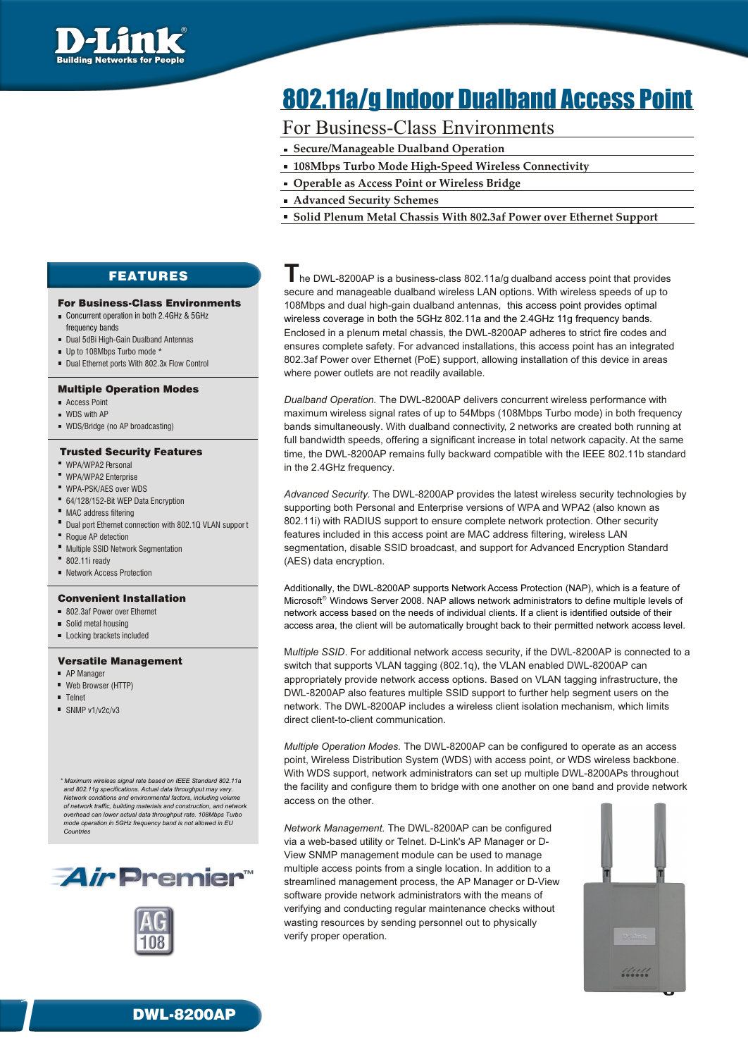

# 802.11a/g Indoor Dualband Access Point

## For Business-Class Environments

- **Secure/Manageable Dualband Operation**
- **108Mbps Turbo Mode High-Speed Wireless Connectivity**
- **Operable as Access Point or Wireless Bridge**
- **Advanced Security Schemes**
- **Solid Plenum Metal Chassis With 802.3af Power over Ethernet Support**

FEATURES

### For Business-Class Environments

- Concurrent operation in both 2.4GHz & 5GHz frequency bands
- Dual 5dBi High-Gain Dualband Antennas
- Up to 108Mbps Turbo mode \*
- Dual Ethernet ports With 802.3x Flow Control

### Multiple Operation Modes

- Access Point
- **NDS** with AP
- WDS/Bridge (no AP broadcasting)

### Trusted Security Features

- **WPA/WPA2 Personal**
- WPA/WPA2 Enterprise
- WPA-PSK/AES over WDS
- 64/128/152-Bit WEP Data Encryption
- MAC address filtering
- Dual port Ethernet connection with 802.1Q VLAN suppor t
- Rogue AP detection
- **Multiple SSID Network Segmentation**
- $\blacksquare$  802.11i ready
- Network Access Protection

### Convenient Installation

- 802.3af Power over Ethernet
- Solid metal housing
- **Locking brackets included**

### Versatile Management

- AP Manager
- Web Browser (HTTP)
- **Telnet**
- $\blacksquare$  SNMP v1/v2c/v3

*\* Maximum wireless signal rate based on IEEE Standard 802.11a and 802.11g specifications. Actual data throughput may vary. Network conditions and environmental factors, including volume of network traffic, building materials and construction, and network overhead can lower actual data throughput rate. 108Mbps Turbo mode operation in 5GHz frequency band is not allowed in EU* 





**T** he DWL-8200AP is <sup>a</sup> business-class 802.11a/g dualband access point that provides secure and manageable dualband wireless LAN options. With wireless speeds of up to 108Mbps and dual high-gain dualband antennas, this access point provides optimal Enclosed in a plenum metal chassis, the DWL-8200AP adheres to strict fire codes and ensures complete safety. For advanced installations, this access point has an integrated 802.3af Power over Ethernet (PoE) support, allowing installation of this device in areas where power outlets are not readily available. wireless coverage in both the 5GHz 802.11a and the 2.4GHz 11g frequency bands.

*Dualband Operation.* The DWL-8200AP delivers concurrent wireless performance with maximum wireless signal rates of up to 54Mbps (108Mbps Turbo mode) in both frequency bands simultaneously. With dualband connectivity, 2 networks are created both running at full bandwidth speeds, offering a significant increase in total network capacity. At the same time, the DWL-8200AP remains fully backward compatible with the IEEE 802.11b standard in the 2.4GHz frequency.

*Advanced Security.* The DWL-8200AP provides the latest wireless security technologies by supporting both Personal and Enterprise versions of WPA and WPA2 (also known as 802.11i) with RADIUS support to ensure complete network protection. Other security features included in this access point are MAC address filtering, wireless LAN segmentation, disable SSID broadcast, and support for Advanced Encryption Standard (AES) data encryption.

Additionally, the DWL-8200AP supports Network Access Protection (NAP), which is a feature of Microsoft $^{\circ}$  Windows Server 2008. NAP allows network administrators to define multiple levels of network access based on the needs of individual clients. If a client is identified outside of their access area, the client will be automatically brought back to their permitted network access level.

M*ultiple SSID*. For additional network access security, if the DWL-8200AP is connected to a switch that supports VLAN tagging (802.1q), the VLAN enabled DWL-8200AP can appropriately provide network access options. Based on VLAN tagging infrastructure, the DWL-8200AP also features multiple SSID support to further help segment users on the network. The DWL-8200AP includes a wireless client isolation mechanism, which limits direct client-to-client communication.

*Multiple Operation Modes.* The DWL-8200AP can be configured to operate as an access point, Wireless Distribution System (WDS) with access point, or WDS wireless backbone. With WDS support, network administrators can set up multiple DWL-8200APs throughout the facility and configure them to bridge with one another on one band and provide network access on the other.

*Network Management.* The DWL-8200AP can be configured via a web-based utility or Telnet. D-Link's AP Manager or D-View SNMP management module can be used to manage multiple access points from a single location. In addition to a streamlined management process, the AP Manager or D-View software provide network administrators with the means of verifying and conducting regular maintenance checks without wasting resources by sending personnel out to physically verify proper operation.



**DWL-8200AP**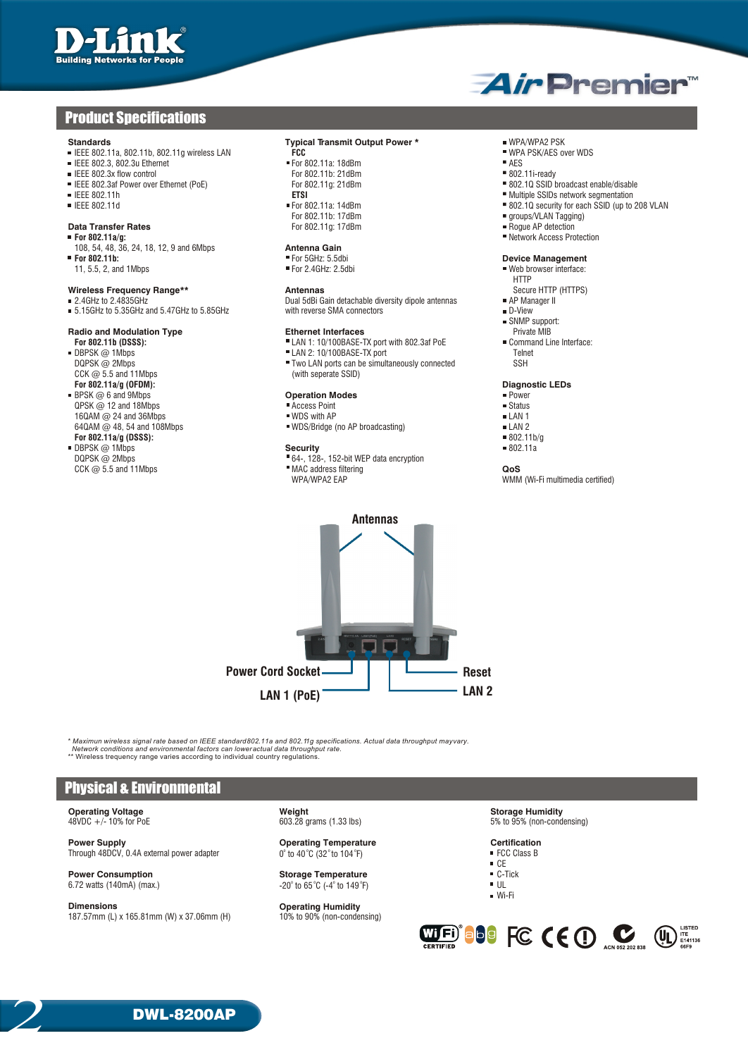## **Product Specifications**

- **Standards Typical Transmit Output Power \* The Community Power \*** THE BO2.110, 802.110, 802.110 wireless LAN **FCC FCC FCC Transmit Output Power \*** The WPA/WPA2 PSK **FCC FCC FCC FCC FCC FCC FCC FCC IEEE 802.11a, 802.11b, 802.11g wireless LAN FCC FCC FCC FCC EXECUTE: IEEE 802.11a: 18dBm PSK/AES PSK/AES PSK/AES PSK/AES PSK/AES PSK/AES PSK/AES PSK/AES PSK/AES PSK/AES PSK/AES PSK/AES PSK**
- 
- 
- IEEE 802.3af Power over Ethernet (PoE)
- 
- 

## **Data Transfer Rates**<br>**For 802.11a/g:**

- 
- 108, 54, 48, 36, 24, 18, 12, 9 and 6Mbps<br> **For 802.11b: For 802.11b:** Provide the Contract Contract Contract Contract Contract Contract Contract Contract Contract Contract Contract Contract Contract Contract Contract Contract Contract Contract Contract Contract Contract Contra
- 

- $=$  5.15GHz to 5.35GHz and 5.47GHz to 5.85GHz
- 

## **Radio and Modulation Type Ethernet Interfaces Exercise Server Alternation Conducts** Private MIB<br>**EXAM 1: 10/100BASE-TX port with 802.3af PoE Private MIB** Command Line Interface:

- DBPSK @ 1Mbps <br>DQPSK @ 2Mbps Telnet Compared Telnet Compared Telnet Compared Telnet Compared Telnet Compared Telnet Compared Compa<br>Film LAN ports can be simultaneously connected SSH CCK  $\omega$  5.5 and 11Mbps
- **For 802.11a/g (OFDM): Diagnostic LEDs**<br>BPSK @ 6 and 9Mbps **Diagnostic LEDs**<br>**Diagnostic LeDs Diagnostic LeDs BPSK @ 6 and 9Mbps <b>Concernent Concernent Concernent Concernent Concernent Concernent Concernent Concernent Concernent Concernent Concernent Concernent Concernent Concernent Concernent Concernent Concernent Concernent Con**  $QPSK @ 12$  and 18Mbps  $QPSK @ 12$  and 18Mbps  $QPSK @ 12$  and 36Mbps  $QPSK @ 12$  and 36Mbps  $QPSK @ 12$  and 36Mbps  $QPSK @ 12$  and 36Mbps  $QPSK @ 12$  and 36Mbps  $QPSK @ 12$  and 36Mbps  $QPSK @ 12$  and 36Mbps  $QPSK @ 12$  and 36Mbps  $QPSK @ 12$  a  $16QAM @ 24$  and 36Mbps  $16QAM @ 24$  and 108Mbps  $16QAM @ 48$ , 54 and 108Mbps  $16QAM @ 48$
- **For 802.11a/g (DSSS):** 802.11b<br> **For 802.11a/g (DSSS):** 802.11b<br> **EXECUTED**<br> **EXECUTED**<br> **EXECUTED**<br> **Security** 802.11a **BEPSK @ 1Mbps**<br>**DQPSK @ 2Mbps**

- IEEE 802.3, 802.3u Ethernet For 802.11a: 18dBm<br>■ IEEE 802.3, 802.3u Ethernet For 802.11a: 18dBm AES For 802.11b: 21dBm AES Prof 802.11i-ready ■ IEEE 802.3x flow control Control Control For 802.11b: 21dBm Control Control For 802.11b: 21dBm BD2.12 m BD2.12 m BD2.10 ESID broadcast enable/disable Missable Missable Superint Control For 802.11g: 21dBm BD2.10 SSID bro
	- For 802.11b: 17dBm **and 17dBm** groups/VLAN Tagging)<br>
	For 802.11a: 17dBm **groups/VLAN Tagging**

### **Antenna Gain**

**Wireless Frequency Range\*\* Antennas Antennas Antennas Antennas Antennas Antennas Example 19** AP Manager II **CALC ANTIP** (Dual 5dBi Gain detachable diversity dipole antennas **FRI AP Manager II** Dual 5dBi Gain detachable diversity dipole antennas **AP Manager II** AP Manager III and with reverse SMA connectors

- **For 802.11b (DSSS):**<br> **FOR 802.11b (DSSS):**<br> **FORE COMMAND CONSUMERTY AND THE LAN 1:** 10/100BASE-TX port with 802.3af PoE Command COMMAND COMMAND PLAN 2: 10/100BASE-TX port with 802.3af PoE Command Command Command Command
	-
	- $\blacksquare$  Two LAN ports can be simultaneously connected (with seperate SSID)

- 
- 
- WDS/Bridge (no AP broadcasting)  $\blacksquare$  LAN 2  $\blacksquare$  802.11b/q

 $DQPSK @ 2Mbps$ <br>  $CCK @ 5.5 and 11Mbps$ <br>  $CCK @ 5.5 and 11Mbps$ **CONSERVANT AND SET AND SET AND SET AND SET AND SOLUTION OF A SET AND SET AND SET AND SET AND SET AND SET AND SET AND SET AND SET AND SET AND SET AND SET AND SET AND SET AND SET AND SET AND SET AND SET AND SET AND SET AND** 

*AirPremier* 

- 
- 
- 
- 
- 
- IEEE 802.11h **ETSI** Multiple SSIDs network segmentation
- IEEE 802.11d For 802.11a: 14dBm 802.1Q security for each SSID (up to 208 VLAN
	-
	-
	- **F** Network Access Protection

## ■ Web browser interface:

- 
- HTTP<br>Secure HTTP (HTTPS)
- 
- 
- SNMP support:<br>Private MIB
- -

- 
- 
- 
- 
- 
- 

WMM (Wi-Fi multimedia certified)



\* *Maximun wireless signal rate based on IEEE standard 802.11a and 802.11g specifications. Actual data throughput may vary. Network conditions and environmental factors can lower actual data throughput rate.*<br>\*\* Wireless trequency range varies according to individual country regulations.

### Physical & Environmental

**Operating Voltage 19 Contains 10 Contains 10 Contains 10 Contains 10 Contains 10 Contains 10 Contains 10 Contains 10 Contains 10 Contains 10 Contains 10 Contains 10 Contains 10 Contains 10 Contains 10 Contains 10 Contains** 

**Power Supply**<br> **Power Supply Certification**<br>  $0^{\circ}$  to  $40^{\circ}$ C  $(32^{\circ}$  to  $104^{\circ}$ F) **COUPLY COUPLY EXECUAL EXECUAL EXECUAL EXECUAL EXECUAL EXECUAL EXECUAL** Through 48DCV, 0.4A external power adapter

**Power Consumption Storage Temperature** C-Tick o o o o 6.72 watts (140mA) (max.) -20 to 65 C (-4 to 149 F) UL

**Dimensions**<br> **187.57mm (L) x 165.81mm (W) x 37.06mm (H)**<br> **Dimension**<br> **Dimension**<br> **Dimension**<br> **Dimension** 187.57mm (L) x 165.81mm (W) x 37.06mm (H)

5% to 95% (non-condensing)

- CE<br>■ C-Tick
- 
- 
- Wi-Fi



**DWL-8200AP**